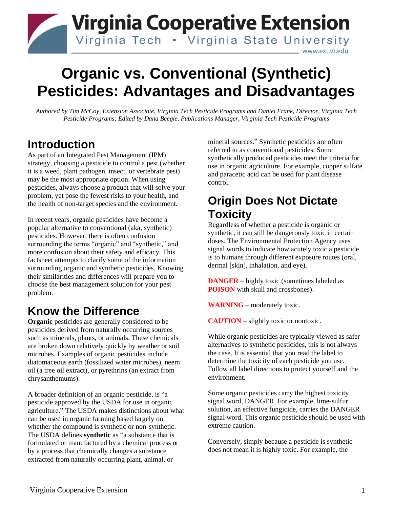## **Virginia Cooperative Extension** Virginia Tech . Virginia State University www.ext.vt.edu

# **Organic vs. Conventional (Synthetic) Pesticides: Advantages and Disadvantages**

*Authored by Tim McCoy, Extension Associate, Virginia Tech Pesticide Programs and Daniel Frank, Director, Virginia Tech Pesticide Programs; Edited by Dana Beegle, Publications Manager, Virginia Tech Pesticide Programs*

#### **Introduction**

As part of an Integrated Pest Management (IPM) strategy, choosing a pesticide to control a pest (whether it is a weed, plant pathogen, insect, or vertebrate pest) may be the most appropriate option. When using pesticides, always choose a product that will solve your problem, yet pose the fewest risks to your health, and the health of non-target species and the environment.

In recent years, organic pesticides have become a popular alternative to conventional (aka, synthetic) pesticides. However, there is often confusion surrounding the terms "organic" and "synthetic," and more confusion about their safety and efficacy. This factsheet attempts to clarify some of the information surrounding organic and synthetic pesticides. Knowing their similarities and differences will prepare you to choose the best management solution for your pest problem.

## **Know the Difference**

**Organic** pesticides are generally considered to be pesticides derived from naturally occurring sources such as minerals, plants, or animals. These chemicals are broken down relatively quickly by weather or soil microbes. Examples of organic pesticides include diatomaceous earth (fossilized water microbes), neem oil (a tree oil extract), or pyrethrins (an extract from chrysanthemums).

A broader definition of an organic pesticide, is "a pesticide approved by the USDA for use in organic agriculture." The USDA makes distinctions about what can be used in organic farming based largely on whether the compound is synthetic or non-synthetic. The USDA defines **synthetic** as "a substance that is formulated or manufactured by a chemical process or by a process that chemically changes a substance extracted from naturally occurring plant, animal, or

mineral sources." Synthetic pesticides are often referred to as conventional pesticides. Some synthetically produced pesticides meet the criteria for use in organic agriculture. For example, copper sulfate and paracetic acid can be used for plant disease control.

#### **Origin Does Not Dictate Toxicity**

Regardless of whether a pesticide is organic or synthetic, it can still be dangerously toxic in certain doses. The Environmental Protection Agency uses signal words to indicate how acutely toxic a pesticide is to humans through different exposure routes (oral, dermal [skin], inhalation, and eye).

**DANGER** – highly toxic (sometimes labeled as **POISON** with skull and crossbones).

**WARNING** – moderately toxic.

**CAUTION** – slightly toxic or nontoxic.

While organic pesticides are typically viewed as safer alternatives to synthetic pesticides, this is not always the case. It is essential that you read the label to determine the toxicity of each pesticide you use. Follow all label directions to protect yourself and the environment.

Some organic pesticides carry the highest toxicity signal word, DANGER. For example, lime-sulfur solution, an effective fungicide, carries the DANGER signal word. This organic pesticide should be used with extreme caution.

Conversely, simply because a pesticide is synthetic does not mean it is highly toxic. For example, the